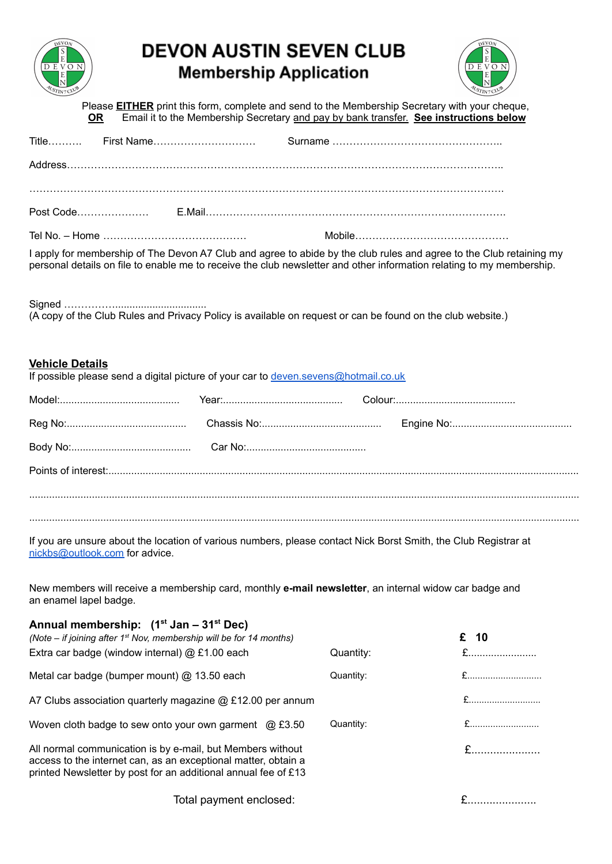

## **DEVON AUSTIN SEVEN CLUB Membership Application**



Please **EITHER** print this form, complete and send to the Membership Secretary with your cheque, **OR** Email it to the Membership Secretary and pay by bank transfer. **See instructions below**

|                        | I apply for membership of The Devon A7 Club and agree to abide by the club rules and agree to the Club retaining my<br>personal details on file to enable me to receive the club newsletter and other information relating to my membership. |           |             |  |
|------------------------|----------------------------------------------------------------------------------------------------------------------------------------------------------------------------------------------------------------------------------------------|-----------|-------------|--|
|                        | (A copy of the Club Rules and Privacy Policy is available on request or can be found on the club website.)                                                                                                                                   |           |             |  |
| <b>Vehicle Details</b> | If possible please send a digital picture of your car to deven.sevens@hotmail.co.uk                                                                                                                                                          |           |             |  |
|                        |                                                                                                                                                                                                                                              |           |             |  |
|                        |                                                                                                                                                                                                                                              |           |             |  |
|                        |                                                                                                                                                                                                                                              |           |             |  |
|                        |                                                                                                                                                                                                                                              |           |             |  |
|                        | If you are unsure about the location of various numbers, please contact Nick Borst Smith, the Club Registrar at<br>nickbs@outlook.com for advice.                                                                                            |           |             |  |
| an enamel lapel badge. | New members will receive a membership card, monthly e-mail newsletter, an internal widow car badge and                                                                                                                                       |           |             |  |
|                        | Annual membership: (1 <sup>st</sup> Jan – 31 <sup>st</sup> Dec)<br>(Note – if joining after 1 <sup>st</sup> Nov, membership will be for 14 months)<br>Extra car badge (window internal) @ £1.00 each                                         | Quantity: | £ 10<br>$E$ |  |
|                        | Metal car badge (bumper mount) @ 13.50 each                                                                                                                                                                                                  | Quantity: |             |  |
|                        | A7 Clubs association quarterly magazine @ £12.00 per annum                                                                                                                                                                                   |           | £           |  |
|                        | Woven cloth badge to sew onto your own garment @ £3.50                                                                                                                                                                                       | Quantity: |             |  |
|                        | All normal communication is by e-mail, but Members without<br>access to the internet can, as an exceptional matter, obtain a<br>printed Newsletter by post for an additional annual fee of £13                                               |           | $E$         |  |
|                        | Total payment enclosed:                                                                                                                                                                                                                      |           | £           |  |